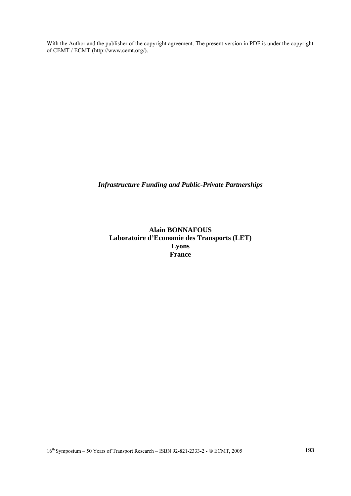With the Author and the publisher of the copyright agreement. The present version in PDF is under the copyright of CEMT / ECMT (http://www.cemt.org/).

*Infrastructure Funding and Public-Private Partnerships* 

**Alain BONNAFOUS Laboratoire d'Economie des Transports (LET) Lyons France**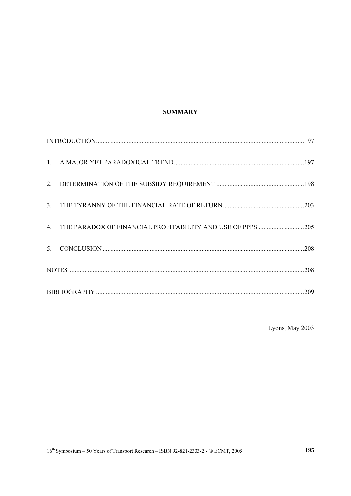# **SUMMARY**

|  | 4. THE PARADOX OF FINANCIAL PROFITABILITY AND USE OF PPPS 205 |      |  |  |
|--|---------------------------------------------------------------|------|--|--|
|  |                                                               | .208 |  |  |
|  |                                                               | .208 |  |  |
|  |                                                               |      |  |  |

Lyons, May 2003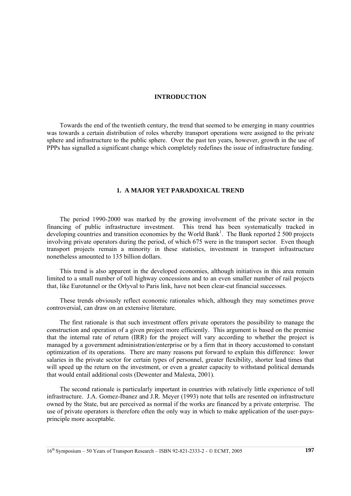#### **INTRODUCTION**

Towards the end of the twentieth century, the trend that seemed to be emerging in many countries was towards a certain distribution of roles whereby transport operations were assigned to the private sphere and infrastructure to the public sphere. Over the past ten years, however, growth in the use of PPPs has signalled a significant change which completely redefines the issue of infrastructure funding.

## **1. A MAJOR YET PARADOXICAL TREND**

The period 1990-2000 was marked by the growing involvement of the private sector in the financing of public infrastructure investment. This trend has been systematically tracked in developing countries and transition economies by the World Bank<sup>1</sup>. The Bank reported 2 500 projects involving private operators during the period, of which 675 were in the transport sector. Even though transport projects remain a minority in these statistics, investment in transport infrastructure nonetheless amounted to 135 billion dollars.

This trend is also apparent in the developed economies, although initiatives in this area remain limited to a small number of toll highway concessions and to an even smaller number of rail projects that, like Eurotunnel or the Orlyval to Paris link, have not been clear-cut financial successes.

These trends obviously reflect economic rationales which, although they may sometimes prove controversial, can draw on an extensive literature.

The first rationale is that such investment offers private operators the possibility to manage the construction and operation of a given project more efficiently. This argument is based on the premise that the internal rate of return (IRR) for the project will vary according to whether the project is managed by a government administration/enterprise or by a firm that in theory accustomed to constant optimization of its operations. There are many reasons put forward to explain this difference: lower salaries in the private sector for certain types of personnel, greater flexibility, shorter lead times that will speed up the return on the investment, or even a greater capacity to withstand political demands that would entail additional costs (Dewenter and Malesta, 2001).

The second rationale is particularly important in countries with relatively little experience of toll infrastructure. J.A. Gomez-Ibanez and J.R. Meyer (1993) note that tolls are resented on infrastructure owned by the State, but are perceived as normal if the works are financed by a private enterprise. The use of private operators is therefore often the only way in which to make application of the user-paysprinciple more acceptable.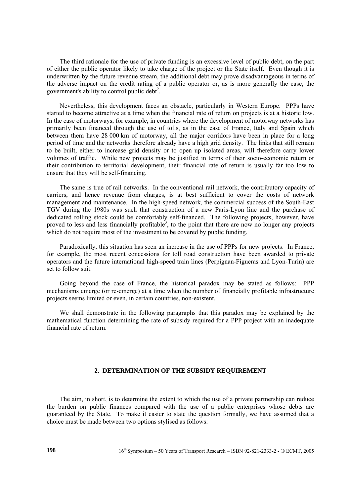The third rationale for the use of private funding is an excessive level of public debt, on the part of either the public operator likely to take charge of the project or the State itself. Even though it is underwritten by the future revenue stream, the additional debt may prove disadvantageous in terms of the adverse impact on the credit rating of a public operator or, as is more generally the case, the government's ability to control public  $debt^2$ .

Nevertheless, this development faces an obstacle, particularly in Western Europe. PPPs have started to become attractive at a time when the financial rate of return on projects is at a historic low. In the case of motorways, for example, in countries where the development of motorway networks has primarily been financed through the use of tolls, as in the case of France, Italy and Spain which between them have 28 000 km of motorway, all the major corridors have been in place for a long period of time and the networks therefore already have a high grid density. The links that still remain to be built, either to increase grid density or to open up isolated areas, will therefore carry lower volumes of traffic. While new projects may be justified in terms of their socio-economic return or their contribution to territorial development, their financial rate of return is usually far too low to ensure that they will be self-financing.

The same is true of rail networks. In the conventional rail network, the contributory capacity of carriers, and hence revenue from charges, is at best sufficient to cover the costs of network management and maintenance. In the high-speed network, the commercial success of the South-East TGV during the 1980s was such that construction of a new Paris-Lyon line and the purchase of dedicated rolling stock could be comfortably self-financed. The following projects, however, have proved to less and less financially profitable<sup>3</sup>, to the point that there are now no longer any projects which do not require most of the investment to be covered by public funding.

Paradoxically, this situation has seen an increase in the use of PPPs for new projects. In France, for example, the most recent concessions for toll road construction have been awarded to private operators and the future international high-speed train lines (Perpignan-Figueras and Lyon-Turin) are set to follow suit.

Going beyond the case of France, the historical paradox may be stated as follows: PPP mechanisms emerge (or re-emerge) at a time when the number of financially profitable infrastructure projects seems limited or even, in certain countries, non-existent.

We shall demonstrate in the following paragraphs that this paradox may be explained by the mathematical function determining the rate of subsidy required for a PPP project with an inadequate financial rate of return.

#### **2. DETERMINATION OF THE SUBSIDY REQUIREMENT**

The aim, in short, is to determine the extent to which the use of a private partnership can reduce the burden on public finances compared with the use of a public enterprises whose debts are guaranteed by the State. To make it easier to state the question formally, we have assumed that a choice must be made between two options stylised as follows: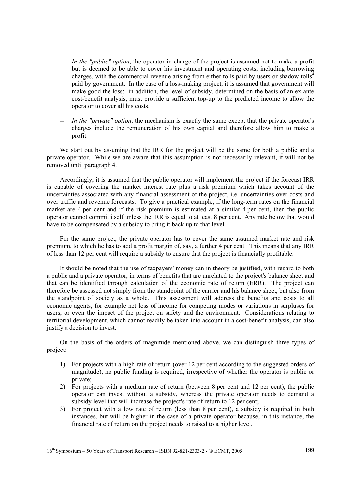- *-- In the "public" option*, the operator in charge of the project is assumed not to make a profit but is deemed to be able to cover his investment and operating costs, including borrowing charges, with the commercial revenue arising from either tolls paid by users or shadow tolls<sup>4</sup> paid by government. In the case of a loss-making project, it is assumed that government will make good the loss; in addition, the level of subsidy, determined on the basis of an ex ante cost-benefit analysis, must provide a sufficient top-up to the predicted income to allow the operator to cover all his costs.
- *In the "private" option*, the mechanism is exactly the same except that the private operator's charges include the remuneration of his own capital and therefore allow him to make a profit.

We start out by assuming that the IRR for the project will be the same for both a public and a private operator. While we are aware that this assumption is not necessarily relevant, it will not be removed until paragraph 4.

Accordingly, it is assumed that the public operator will implement the project if the forecast IRR is capable of covering the market interest rate plus a risk premium which takes account of the uncertainties associated with any financial assessment of the project, i.e. uncertainties over costs and over traffic and revenue forecasts. To give a practical example, if the long-term rates on the financial market are 4 per cent and if the risk premium is estimated at a similar 4 per cent, then the public operator cannot commit itself unless the IRR is equal to at least 8 per cent. Any rate below that would have to be compensated by a subsidy to bring it back up to that level.

For the same project, the private operator has to cover the same assumed market rate and risk premium, to which he has to add a profit margin of, say, a further 4 per cent. This means that any IRR of less than 12 per cent will require a subsidy to ensure that the project is financially profitable.

It should be noted that the use of taxpayers' money can in theory be justified, with regard to both a public and a private operator, in terms of benefits that are unrelated to the project's balance sheet and that can be identified through calculation of the economic rate of return (ERR). The project can therefore be assessed not simply from the standpoint of the carrier and his balance sheet, but also from the standpoint of society as a whole. This assessment will address the benefits and costs to all economic agents, for example net loss of income for competing modes or variations in surpluses for users, or even the impact of the project on safety and the environment. Considerations relating to territorial development, which cannot readily be taken into account in a cost-benefit analysis, can also justify a decision to invest.

On the basis of the orders of magnitude mentioned above, we can distinguish three types of project:

- 1) For projects with a high rate of return (over 12 per cent according to the suggested orders of magnitude), no public funding is required, irrespective of whether the operator is public or private;
- 2) For projects with a medium rate of return (between 8 per cent and 12 per cent), the public operator can invest without a subsidy, whereas the private operator needs to demand a subsidy level that will increase the project's rate of return to 12 per cent;
- 3) For project with a low rate of return (less than 8 per cent), a subsidy is required in both instances, but will be higher in the case of a private operator because, in this instance, the financial rate of return on the project needs to raised to a higher level.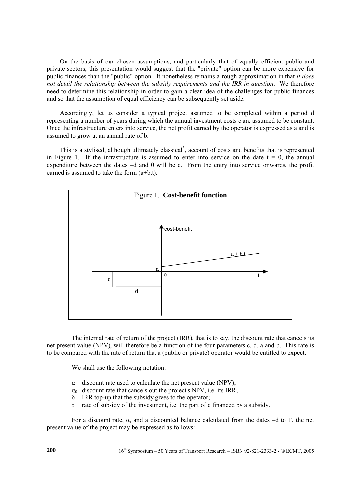On the basis of our chosen assumptions, and particularly that of equally efficient public and private sectors, this presentation would suggest that the "private" option can be more expensive for public finances than the "public" option. It nonetheless remains a rough approximation in that *it does not detail the relationship between the subsidy requirements and the IRR in question*. We therefore need to determine this relationship in order to gain a clear idea of the challenges for public finances and so that the assumption of equal efficiency can be subsequently set aside.

Accordingly, let us consider a typical project assumed to be completed within a period d representing a number of years during which the annual investment costs c are assumed to be constant. Once the infrastructure enters into service, the net profit earned by the operator is expressed as a and is assumed to grow at an annual rate of b.

This is a stylised, although ultimately classical<sup>5</sup>, account of costs and benefits that is represented in Figure 1. If the infrastructure is assumed to enter into service on the date  $t = 0$ , the annual expenditure between the dates –d and 0 will be c. From the entry into service onwards, the profit earned is assumed to take the form (a+b.t).



 The internal rate of return of the project (IRR), that is to say, the discount rate that cancels its net present value (NPV), will therefore be a function of the four parameters c, d, a and b. This rate is to be compared with the rate of return that a (public or private) operator would be entitled to expect.

We shall use the following notation:

- $\alpha$  discount rate used to calculate the net present value (NPV);
- $\alpha_0$  discount rate that cancels out the project's NPV, i.e. its IRR;
- δ IRR top-up that the subsidy gives to the operator;
- $\tau$  rate of subsidy of the investment, i.e. the part of c financed by a subsidy.

For a discount rate,  $\alpha$ , and a discounted balance calculated from the dates  $-d$  to T, the net present value of the project may be expressed as follows: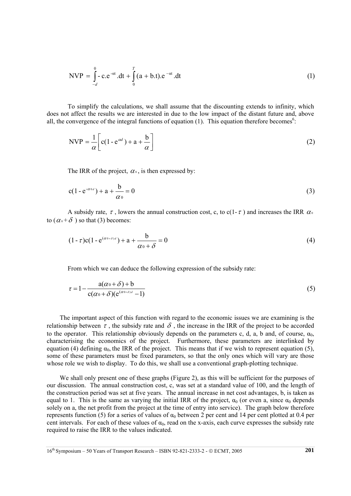NVP = 
$$
\int_{-d}^{0} -c.e^{-\alpha t} dt + \int_{0}^{T} (a + b.t).e^{-\alpha t} dt
$$
 (1)

To simplify the calculations, we shall assume that the discounting extends to infinity, which does not affect the results we are interested in due to the low impact of the distant future and, above all, the convergence of the integral functions of equation  $(1)$ . This equation therefore becomes<sup>6</sup>:

$$
NVP = \frac{1}{\alpha} \left[ c(1 - e^{\alpha d}) + a + \frac{b}{\alpha} \right]
$$
 (2)

The IRR of the project,  $\alpha_0$ , is then expressed by:

$$
c(1 - e^{-\alpha \theta}) + a + \frac{b}{\alpha_0} = 0
$$
 (3)

A subsidy rate,  $\tau$ , lowers the annual construction cost, c, to c(1- $\tau$ ) and increases the IRR  $\alpha_0$ to  $(\alpha_0 + \delta)$  so that (3) becomes:

$$
(1 - \tau)c(1 - e^{(\alpha \theta + \delta)d}) + a + \frac{b}{\alpha \theta + \delta} = 0
$$
\n<sup>(4)</sup>

From which we can deduce the following expression of the subsidy rate:

$$
\tau = 1 - \frac{a(\alpha \cdot \delta) + b}{c(\alpha \cdot \delta)(e^{(\alpha \cdot \delta)d} - 1)}
$$
(5)

The important aspect of this function with regard to the economic issues we are examining is the relationship between  $\tau$ , the subsidy rate and  $\delta$ , the increase in the IRR of the project to be accorded to the operator. This relationship obviously depends on the parameters c, d, a, b and, of course,  $\alpha_0$ , characterising the economics of the project. Furthermore, these parameters are interlinked by equation (4) defining  $\alpha_0$ , the IRR of the project. This means that if we wish to represent equation (5), some of these parameters must be fixed parameters, so that the only ones which will vary are those whose role we wish to display. To do this, we shall use a conventional graph-plotting technique.

We shall only present one of these graphs (Figure 2), as this will be sufficient for the purposes of our discussion. The annual construction cost, c, was set at a standard value of 100, and the length of the construction period was set at five years. The annual increase in net cost advantages, b, is taken as equal to 1. This is the same as varying the initial IRR of the project,  $\alpha_0$  (or even a, since  $\alpha_0$  depends solely on a, the net profit from the project at the time of entry into service). The graph below therefore represents function (5) for a series of values of  $\alpha_0$  between 2 per cent and 14 per cent plotted at 0.4 per cent intervals. For each of these values of  $\alpha_0$ , read on the x-axis, each curve expresses the subsidy rate required to raise the IRR to the values indicated.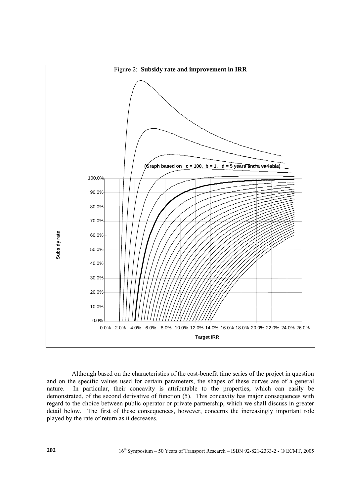

 Although based on the characteristics of the cost-benefit time series of the project in question and on the specific values used for certain parameters, the shapes of these curves are of a general nature. In particular, their concavity is attributable to the properties, which can easily be demonstrated, of the second derivative of function (5). This concavity has major consequences with regard to the choice between public operator or private partnership, which we shall discuss in greater detail below. The first of these consequences, however, concerns the increasingly important role played by the rate of return as it decreases.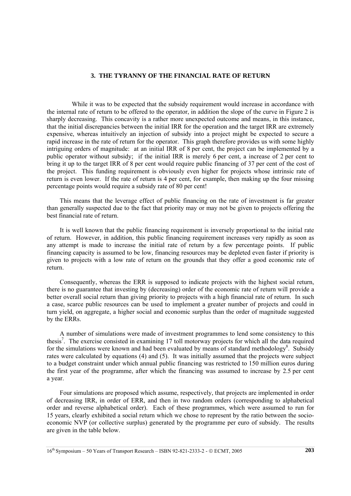## **3. THE TYRANNY OF THE FINANCIAL RATE OF RETURN**

 While it was to be expected that the subsidy requirement would increase in accordance with the internal rate of return to be offered to the operator, in addition the slope of the curve in Figure 2 is sharply decreasing. This concavity is a rather more unexpected outcome and means, in this instance, that the initial discrepancies between the initial IRR for the operation and the target IRR are extremely expensive, whereas intuitively an injection of subsidy into a project might be expected to secure a rapid increase in the rate of return for the operator. This graph therefore provides us with some highly intriguing orders of magnitude: at an initial IRR of 8 per cent, the project can be implemented by a public operator without subsidy; if the initial IRR is merely 6 per cent, a increase of 2 per cent to bring it up to the target IRR of 8 per cent would require public financing of 37 per cent of the cost of the project. This funding requirement is obviously even higher for projects whose intrinsic rate of return is even lower. If the rate of return is 4 per cent, for example, then making up the four missing percentage points would require a subsidy rate of 80 per cent!

This means that the leverage effect of public financing on the rate of investment is far greater than generally suspected due to the fact that priority may or may not be given to projects offering the best financial rate of return.

It is well known that the public financing requirement is inversely proportional to the initial rate of return. However, in addition, this public financing requirement increases very rapidly as soon as any attempt is made to increase the initial rate of return by a few percentage points. If public financing capacity is assumed to be low, financing resources may be depleted even faster if priority is given to projects with a low rate of return on the grounds that they offer a good economic rate of return.

Consequently, whereas the ERR is supposed to indicate projects with the highest social return, there is no guarantee that investing by (decreasing) order of the economic rate of return will provide a better overall social return than giving priority to projects with a high financial rate of return. In such a case, scarce public resources can be used to implement a greater number of projects and could in turn yield, on aggregate, a higher social and economic surplus than the order of magnitude suggested by the ERRs.

A number of simulations were made of investment programmes to lend some consistency to this thesis<sup>7</sup>. The exercise consisted in examining 17 toll motorway projects for which all the data required for the simulations were known and had been evaluated by means of standard methodology<sup>8</sup>. Subsidy rates were calculated by equations (4) and (5). It was initially assumed that the projects were subject to a budget constraint under which annual public financing was restricted to 150 million euros during the first year of the programme, after which the financing was assumed to increase by 2.5 per cent a year.

Four simulations are proposed which assume, respectively, that projects are implemented in order of decreasing IRR, in order of ERR, and then in two random orders (corresponding to alphabetical order and reverse alphabetical order). Each of these programmes, which were assumed to run for 15 years, clearly exhibited a social return which we chose to represent by the ratio between the socioeconomic NVP (or collective surplus) generated by the programme per euro of subsidy. The results are given in the table below.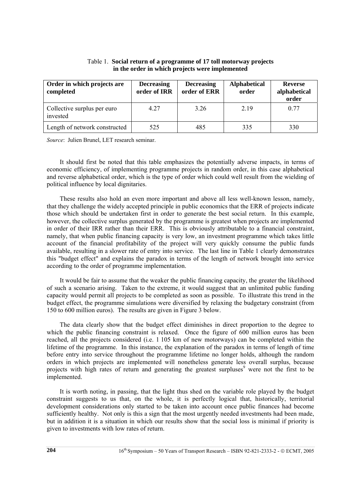| Order in which projects are<br>completed | <b>Decreasing</b><br>order of IRR | <b>Decreasing</b><br>order of ERR | <b>Alphabetical</b><br>order | <b>Reverse</b><br>alphabetical<br>order |
|------------------------------------------|-----------------------------------|-----------------------------------|------------------------------|-----------------------------------------|
| Collective surplus per euro<br>invested  | 4.27                              | 3.26                              | 2.19                         | 0.77                                    |
| Length of network constructed            | 525                               | 485                               | 335                          | 330                                     |

## Table 1. **Social return of a programme of 17 toll motorway projects in the order in which projects were implemented**

*Source*: Julien Brunel, LET research seminar.

It should first be noted that this table emphasizes the potentially adverse impacts, in terms of economic efficiency, of implementing programme projects in random order, in this case alphabetical and reverse alphabetical order, which is the type of order which could well result from the wielding of political influence by local dignitaries.

These results also hold an even more important and above all less well-known lesson, namely, that they challenge the widely accepted principle in public economics that the ERR of projects indicate those which should be undertaken first in order to generate the best social return. In this example, however, the collective surplus generated by the programme is greatest when projects are implemented in order of their IRR rather than their ERR. This is obviously attributable to a financial constraint, namely, that when public financing capacity is very low, an investment programme which takes little account of the financial profitability of the project will very quickly consume the public funds available, resulting in a slower rate of entry into service. The last line in Table 1 clearly demonstrates this "budget effect" and explains the paradox in terms of the length of network brought into service according to the order of programme implementation.

It would be fair to assume that the weaker the public financing capacity, the greater the likelihood of such a scenario arising. Taken to the extreme, it would suggest that an unlimited public funding capacity would permit all projects to be completed as soon as possible. To illustrate this trend in the budget effect, the programme simulations were diversified by relaxing the budgetary constraint (from 150 to 600 million euros). The results are given in Figure 3 below.

The data clearly show that the budget effect diminishes in direct proportion to the degree to which the public financing constraint is relaxed. Once the figure of 600 million euros has been reached, all the projects considered (i.e. 1 105 km of new motorways) can be completed within the lifetime of the programme. In this instance, the explanation of the paradox in terms of length of time before entry into service throughout the programme lifetime no longer holds, although the random orders in which projects are implemented will nonetheless generate less overall surplus, because projects with high rates of return and generating the greatest surpluses<sup>9</sup> were not the first to be implemented.

It is worth noting, in passing, that the light thus shed on the variable role played by the budget constraint suggests to us that, on the whole, it is perfectly logical that, historically, territorial development considerations only started to be taken into account once public finances had become sufficiently healthy. Not only is this a sign that the most urgently needed investments had been made, but in addition it is a situation in which our results show that the social loss is minimal if priority is given to investments with low rates of return.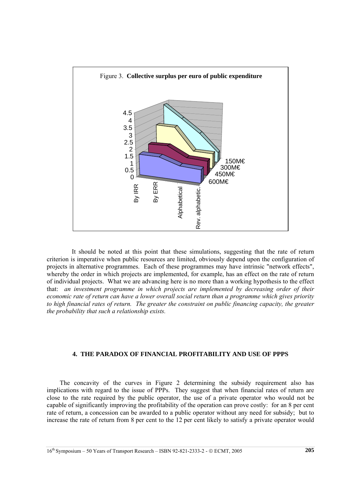

 It should be noted at this point that these simulations, suggesting that the rate of return criterion is imperative when public resources are limited, obviously depend upon the configuration of projects in alternative programmes. Each of these programmes may have intrinsic "network effects", whereby the order in which projects are implemented, for example, has an effect on the rate of return of individual projects. What we are advancing here is no more than a working hypothesis to the effect that: *an investment programme in which projects are implemented by decreasing order of their economic rate of return can have a lower overall social return than a programme which gives priority to high financial rates of return. The greater the constraint on public financing capacity, the greater the probability that such a relationship exists.*  **EXECUTE THE RESENSE TO THE RETAINMENT CONDUCT THE RETAINMENT CONDUCTS THE REAL PROPERTY CONDUCTS TO THE PARADOX OF FINANCIAL PROFITABILITY AND USE OF PPPS (and the rate of reduction is imperative programme in the rate of** 

## **4. THE PARADOX OF FINANCIAL PROFITABILITY AND USE OF PPPS**

The concavity of the curves in Figure 2 determining the subsidy requirement also has implications with regard to the issue of PPPs. They suggest that when financial rates of return are close to the rate required by the public operator, the use of a private operator who would not be capable of significantly improving the profitability of the operation can prove costly: for an 8 per cent rate of return, a concession can be awarded to a public operator without any need for subsidy; but to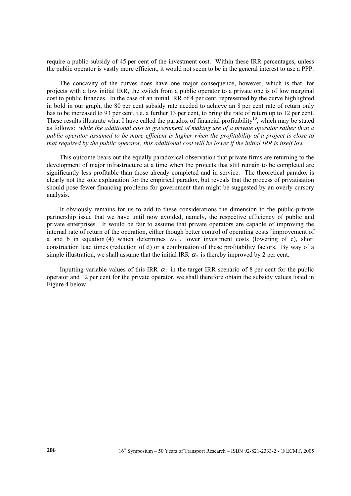require a public subsidy of 45 per cent of the investment cost. Within these IRR percentages, unless the public operator is vastly more efficient, it would not seem to be in the general interest to use a PPP.

The concavity of the curves does have one major consequence, however, which is that, for projects with a low initial IRR, the switch from a public operator to a private one is of low marginal cost to public finances. In the case of an initial IRR of 4 per cent, represented by the curve highlighted in bold in our graph, the 80 per cent subsidy rate needed to achieve an 8 per cent rate of return only has to be increased to 93 per cent, i.e. a further 13 per cent, to bring the rate of return up to 12 per cent. These results illustrate what I have called the paradox of financial profitability<sup>10</sup>, which may be stated as follows: *while the additional cost to government of making use of a private operator rather than a public operator assumed to be more efficient is higher when the profitability of a project is close to that required by the public operator, this additional cost will be lower if the initial IRR is itself low.* 

This outcome bears out the equally paradoxical observation that private firms are returning to the development of major infrastructure at a time when the projects that still remain to be completed are significantly less profitable than those already completed and in service. The theoretical paradox is clearly not the sole explanation for the empirical paradox, but reveals that the process of privatisation should pose fewer financing problems for government than might be suggested by an overly cursory analysis.

It obviously remains for us to add to these considerations the dimension to the public-private partnership issue that we have until now avoided, namely, the respective efficiency of public and private enterprises. It would be fair to assume that private operators are capable of improving the internal rate of return of the operation, either though better control of operating costs [improvement of a and b in equation (4) which determines  $\alpha_0$ ], lower investment costs (lowering of c), short construction lead times (reduction of d) or a combination of these profitability factors. By way of a simple illustration, we shall assume that the initial IRR  $\alpha_0$  is thereby improved by 2 per cent.

Inputting variable values of this IRR  $\alpha_0$  in the target IRR scenario of 8 per cent for the public operator and 12 per cent for the private operator, we shall therefore obtain the subsidy values listed in Figure 4 below.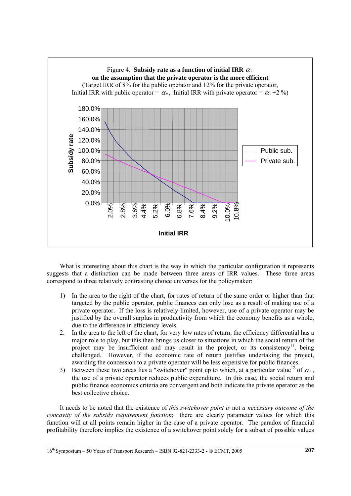

What is interesting about this chart is the way in which the particular configuration it represents suggests that a distinction can be made between three areas of IRR values. These three areas correspond to three relatively contrasting choice universes for the policymaker:

- 1) In the area to the right of the chart, for rates of return of the same order or higher than that targeted by the public operator, public finances can only lose as a result of making use of a private operator. If the loss is relatively limited, however, use of a private operator may be justified by the overall surplus in productivity from which the economy benefits as a whole, due to the difference in efficiency levels.
- 2. In the area to the left of the chart, for very low rates of return, the efficiency differential has a major role to play, but this then brings us closer to situations in which the social return of the project may be insufficient and may result in the project, or its consistency<sup>11</sup>, being challenged. However, if the economic rate of return justifies undertaking the project, awarding the concession to a private operator will be less expensive for public finances.
- 3) Between these two areas lies a "switchover" point up to which, at a particular value<sup>12</sup> of  $\alpha_0$ , the use of a private operator reduces public expenditure. In this case, the social return and public finance economics criteria are convergent and both indicate the private operator as the best collective choice.

It needs to be noted that the existence of *this switchover point is* not *a necessary outcome of the concavity of the subsidy requirement function*; there are clearly parameter values for which this function will at all points remain higher in the case of a private operator. The paradox of financial profitability therefore implies the existence of a switchover point solely for a subset of possible values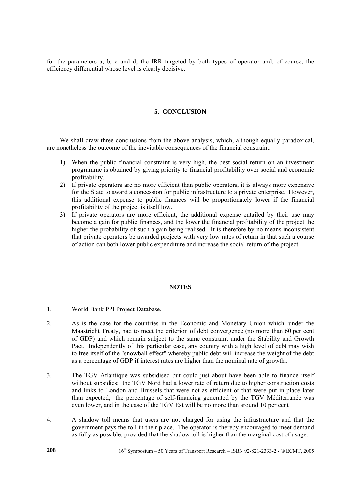for the parameters a, b, c and d, the IRR targeted by both types of operator and, of course, the efficiency differential whose level is clearly decisive.

## **5. CONCLUSION**

We shall draw three conclusions from the above analysis, which, although equally paradoxical, are nonetheless the outcome of the inevitable consequences of the financial constraint.

- 1) When the public financial constraint is very high, the best social return on an investment programme is obtained by giving priority to financial profitability over social and economic profitability.
- 2) If private operators are no more efficient than public operators, it is always more expensive for the State to award a concession for public infrastructure to a private enterprise. However, this additional expense to public finances will be proportionately lower if the financial profitability of the project is itself low.
- 3) If private operators are more efficient, the additional expense entailed by their use may become a gain for public finances, and the lower the financial profitability of the project the higher the probability of such a gain being realised. It is therefore by no means inconsistent that private operators be awarded projects with very low rates of return in that such a course of action can both lower public expenditure and increase the social return of the project.

#### **NOTES**

- 1. World Bank PPI Project Database.
- 2. As is the case for the countries in the Economic and Monetary Union which, under the Maastricht Treaty, had to meet the criterion of debt convergence (no more than 60 per cent of GDP) and which remain subject to the same constraint under the Stability and Growth Pact. Independently of this particular case, any country with a high level of debt may wish to free itself of the "snowball effect" whereby public debt will increase the weight of the debt as a percentage of GDP if interest rates are higher than the nominal rate of growth..
- 3. The TGV Atlantique was subsidised but could just about have been able to finance itself without subsidies; the TGV Nord had a lower rate of return due to higher construction costs and links to London and Brussels that were not as efficient or that were put in place later than expected; the percentage of self-financing generated by the TGV Méditerranée was even lower, and in the case of the TGV Est will be no more than around 10 per cent
- 4. A shadow toll means that users are not charged for using the infrastructure and that the government pays the toll in their place. The operator is thereby encouraged to meet demand as fully as possible, provided that the shadow toll is higher than the marginal cost of usage.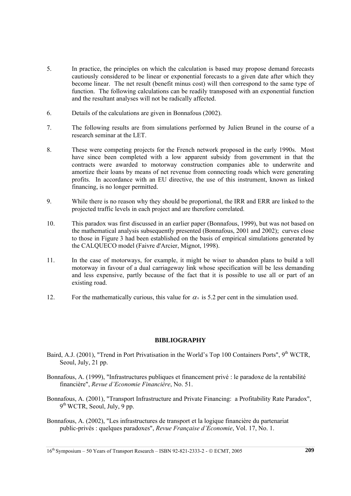- 5. In practice, the principles on which the calculation is based may propose demand forecasts cautiously considered to be linear or exponential forecasts to a given date after which they become linear. The net result (benefit minus cost) will then correspond to the same type of function. The following calculations can be readily transposed with an exponential function and the resultant analyses will not be radically affected.
- 6. Details of the calculations are given in Bonnafous (2002).
- 7. The following results are from simulations performed by Julien Brunel in the course of a research seminar at the LET.
- 8. These were competing projects for the French network proposed in the early 1990s. Most have since been completed with a low apparent subsidy from government in that the contracts were awarded to motorway construction companies able to underwrite and amortize their loans by means of net revenue from connecting roads which were generating profits. In accordance with an EU directive, the use of this instrument, known as linked financing, is no longer permitted.
- 9. While there is no reason why they should be proportional, the IRR and ERR are linked to the projected traffic levels in each project and are therefore correlated.
- 10. This paradox was first discussed in an earlier paper (Bonnafous, 1999), but was not based on the mathematical analysis subsequently presented (Bonnafous, 2001 and 2002); curves close to those in Figure 3 had been established on the basis of empirical simulations generated by the CALQUECO model (Faivre d'Arcier, Mignot, 1998).
- 11. In the case of motorways, for example, it might be wiser to abandon plans to build a toll motorway in favour of a dual carriageway link whose specification will be less demanding and less expensive, partly because of the fact that it is possible to use all or part of an existing road.
- 12. For the mathematically curious, this value for  $\alpha_0$  is 5.2 per cent in the simulation used.

#### **BIBLIOGRAPHY**

- Baird, A.J. (2001), "Trend in Port Privatisation in the World's Top 100 Containers Ports", 9<sup>th</sup> WCTR, Seoul, July, 21 pp.
- Bonnafous, A. (1999), "Infrastructures publiques et financement privé : le paradoxe de la rentabilité financière", *Revue d'Economie Financière*, No. 51.
- Bonnafous, A. (2001), "Transport Infrastructure and Private Financing: a Profitability Rate Paradox",  $9<sup>th</sup> WCTR$ , Seoul, July,  $9$  pp.
- Bonnafous, A. (2002), "Les infrastructures de transport et la logique financière du partenariat public-privés : quelques paradoxes", *Revue Française d'Economie*, Vol. 17, No. 1.

<sup>16</sup>th Symposium – 50 Years of Transport Research – ISBN 92-821-2333-2 - © ECMT, 2005 **209**